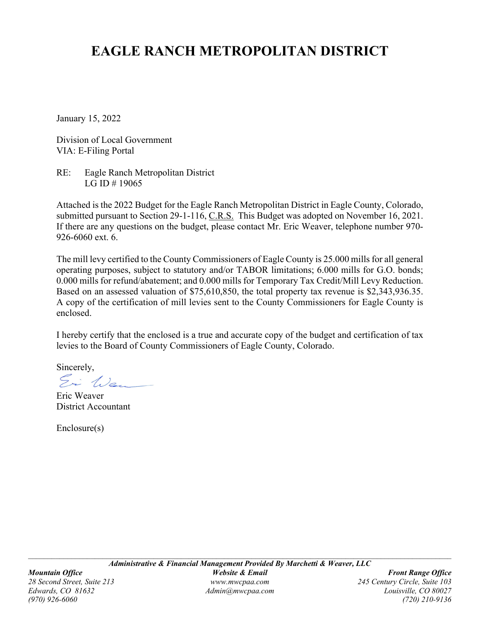# **EAGLE RANCH METROPOLITAN DISTRICT**

January 15, 2022

Division of Local Government VIA: E-Filing Portal

RE: Eagle Ranch Metropolitan District LG ID # 19065

Attached is the 2022 Budget for the Eagle Ranch Metropolitan District in Eagle County, Colorado, submitted pursuant to Section 29-1-116, C.R.S. This Budget was adopted on November 16, 2021. If there are any questions on the budget, please contact Mr. Eric Weaver, telephone number 970- 926-6060 ext. 6.

The mill levy certified to the County Commissioners of Eagle County is 25.000 mills for all general operating purposes, subject to statutory and/or TABOR limitations; 6.000 mills for G.O. bonds; 0.000 mills for refund/abatement; and 0.000 mills for Temporary Tax Credit/Mill Levy Reduction. Based on an assessed valuation of \$75,610,850, the total property tax revenue is \$2,343,936.35. A copy of the certification of mill levies sent to the County Commissioners for Eagle County is enclosed.

I hereby certify that the enclosed is a true and accurate copy of the budget and certification of tax levies to the Board of County Commissioners of Eagle County, Colorado.

Sincerely,

Ei Wen

Eric Weaver District Accountant

Enclosure(s)

*(970) 926-6060 (720) 210-9136*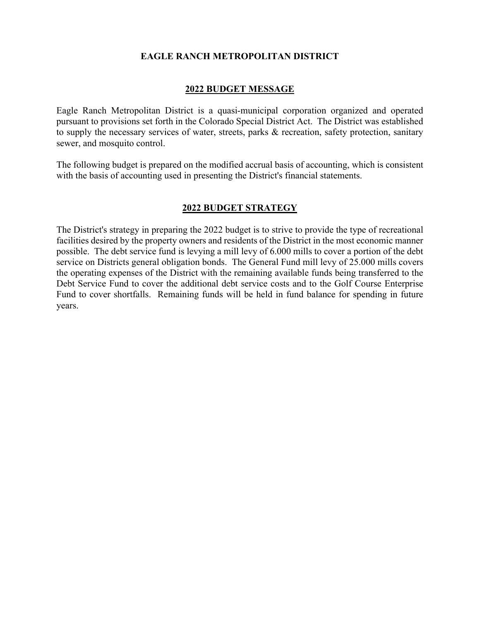### **EAGLE RANCH METROPOLITAN DISTRICT**

#### **2022 BUDGET MESSAGE**

Eagle Ranch Metropolitan District is a quasi-municipal corporation organized and operated pursuant to provisions set forth in the Colorado Special District Act. The District was established to supply the necessary services of water, streets, parks & recreation, safety protection, sanitary sewer, and mosquito control.

The following budget is prepared on the modified accrual basis of accounting, which is consistent with the basis of accounting used in presenting the District's financial statements.

#### **2022 BUDGET STRATEGY**

The District's strategy in preparing the 2022 budget is to strive to provide the type of recreational facilities desired by the property owners and residents of the District in the most economic manner possible. The debt service fund is levying a mill levy of 6.000 mills to cover a portion of the debt service on Districts general obligation bonds. The General Fund mill levy of 25.000 mills covers the operating expenses of the District with the remaining available funds being transferred to the Debt Service Fund to cover the additional debt service costs and to the Golf Course Enterprise Fund to cover shortfalls. Remaining funds will be held in fund balance for spending in future years.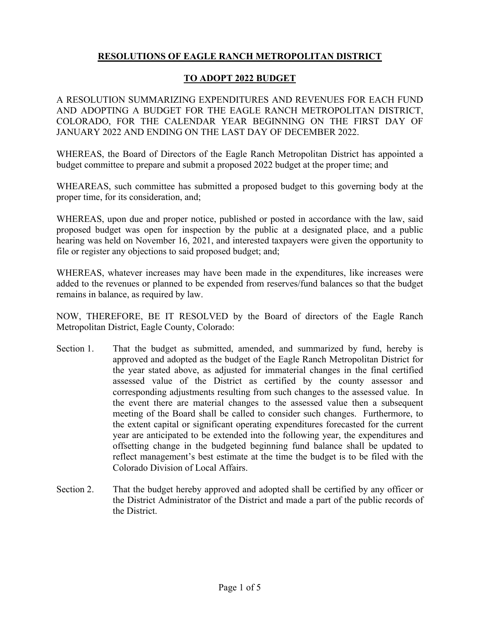# **RESOLUTIONS OF EAGLE RANCH METROPOLITAN DISTRICT**

### **TO ADOPT 2022 BUDGET**

A RESOLUTION SUMMARIZING EXPENDITURES AND REVENUES FOR EACH FUND AND ADOPTING A BUDGET FOR THE EAGLE RANCH METROPOLITAN DISTRICT, COLORADO, FOR THE CALENDAR YEAR BEGINNING ON THE FIRST DAY OF JANUARY 2022 AND ENDING ON THE LAST DAY OF DECEMBER 2022.

WHEREAS, the Board of Directors of the Eagle Ranch Metropolitan District has appointed a budget committee to prepare and submit a proposed 2022 budget at the proper time; and

WHEAREAS, such committee has submitted a proposed budget to this governing body at the proper time, for its consideration, and;

WHEREAS, upon due and proper notice, published or posted in accordance with the law, said proposed budget was open for inspection by the public at a designated place, and a public hearing was held on November 16, 2021, and interested taxpayers were given the opportunity to file or register any objections to said proposed budget; and;

WHEREAS, whatever increases may have been made in the expenditures, like increases were added to the revenues or planned to be expended from reserves/fund balances so that the budget remains in balance, as required by law.

NOW, THEREFORE, BE IT RESOLVED by the Board of directors of the Eagle Ranch Metropolitan District, Eagle County, Colorado:

- Section 1. That the budget as submitted, amended, and summarized by fund, hereby is approved and adopted as the budget of the Eagle Ranch Metropolitan District for the year stated above, as adjusted for immaterial changes in the final certified assessed value of the District as certified by the county assessor and corresponding adjustments resulting from such changes to the assessed value. In the event there are material changes to the assessed value then a subsequent meeting of the Board shall be called to consider such changes. Furthermore, to the extent capital or significant operating expenditures forecasted for the current year are anticipated to be extended into the following year, the expenditures and offsetting change in the budgeted beginning fund balance shall be updated to reflect management's best estimate at the time the budget is to be filed with the Colorado Division of Local Affairs.
- Section 2. That the budget hereby approved and adopted shall be certified by any officer or the District Administrator of the District and made a part of the public records of the District.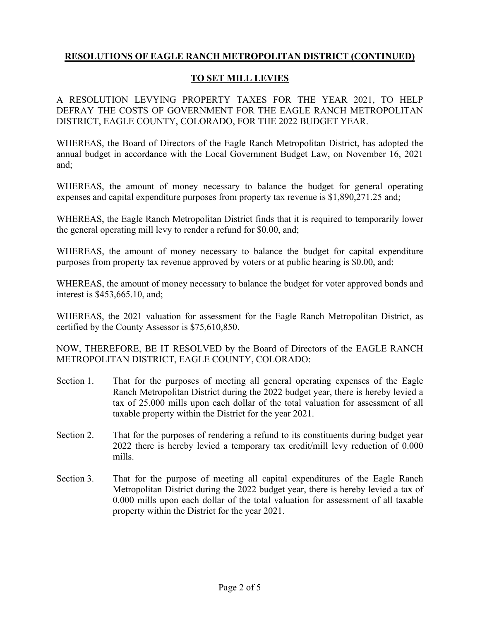### **TO SET MILL LEVIES**

A RESOLUTION LEVYING PROPERTY TAXES FOR THE YEAR 2021, TO HELP DEFRAY THE COSTS OF GOVERNMENT FOR THE EAGLE RANCH METROPOLITAN DISTRICT, EAGLE COUNTY, COLORADO, FOR THE 2022 BUDGET YEAR.

WHEREAS, the Board of Directors of the Eagle Ranch Metropolitan District, has adopted the annual budget in accordance with the Local Government Budget Law, on November 16, 2021 and;

WHEREAS, the amount of money necessary to balance the budget for general operating expenses and capital expenditure purposes from property tax revenue is \$1,890,271.25 and;

WHEREAS, the Eagle Ranch Metropolitan District finds that it is required to temporarily lower the general operating mill levy to render a refund for \$0.00, and;

WHEREAS, the amount of money necessary to balance the budget for capital expenditure purposes from property tax revenue approved by voters or at public hearing is \$0.00, and;

WHEREAS, the amount of money necessary to balance the budget for voter approved bonds and interest is \$453,665.10, and;

WHEREAS, the 2021 valuation for assessment for the Eagle Ranch Metropolitan District, as certified by the County Assessor is \$75,610,850.

NOW, THEREFORE, BE IT RESOLVED by the Board of Directors of the EAGLE RANCH METROPOLITAN DISTRICT, EAGLE COUNTY, COLORADO:

- Section 1. That for the purposes of meeting all general operating expenses of the Eagle Ranch Metropolitan District during the 2022 budget year, there is hereby levied a tax of 25.000 mills upon each dollar of the total valuation for assessment of all taxable property within the District for the year 2021.
- Section 2. That for the purposes of rendering a refund to its constituents during budget year 2022 there is hereby levied a temporary tax credit/mill levy reduction of 0.000 mills.
- Section 3. That for the purpose of meeting all capital expenditures of the Eagle Ranch Metropolitan District during the 2022 budget year, there is hereby levied a tax of 0.000 mills upon each dollar of the total valuation for assessment of all taxable property within the District for the year 2021.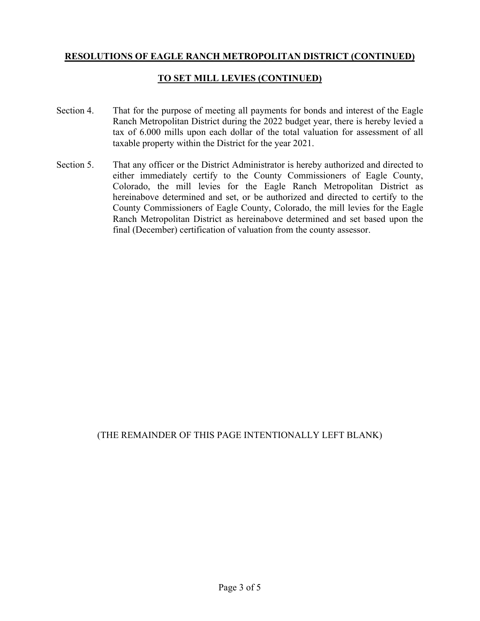# **TO SET MILL LEVIES (CONTINUED)**

- Section 4. That for the purpose of meeting all payments for bonds and interest of the Eagle Ranch Metropolitan District during the 2022 budget year, there is hereby levied a tax of 6.000 mills upon each dollar of the total valuation for assessment of all taxable property within the District for the year 2021.
- Section 5. That any officer or the District Administrator is hereby authorized and directed to either immediately certify to the County Commissioners of Eagle County, Colorado, the mill levies for the Eagle Ranch Metropolitan District as hereinabove determined and set, or be authorized and directed to certify to the County Commissioners of Eagle County, Colorado, the mill levies for the Eagle Ranch Metropolitan District as hereinabove determined and set based upon the final (December) certification of valuation from the county assessor.

# (THE REMAINDER OF THIS PAGE INTENTIONALLY LEFT BLANK)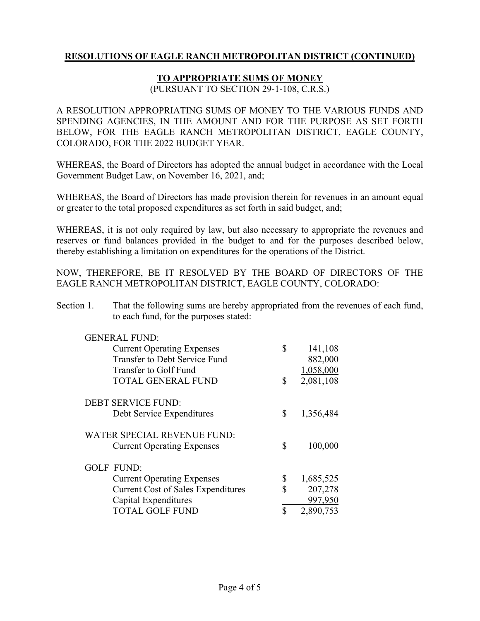### **TO APPROPRIATE SUMS OF MONEY**

(PURSUANT TO SECTION 29-1-108, C.R.S.)

A RESOLUTION APPROPRIATING SUMS OF MONEY TO THE VARIOUS FUNDS AND SPENDING AGENCIES, IN THE AMOUNT AND FOR THE PURPOSE AS SET FORTH BELOW, FOR THE EAGLE RANCH METROPOLITAN DISTRICT, EAGLE COUNTY, COLORADO, FOR THE 2022 BUDGET YEAR.

WHEREAS, the Board of Directors has adopted the annual budget in accordance with the Local Government Budget Law, on November 16, 2021, and;

WHEREAS, the Board of Directors has made provision therein for revenues in an amount equal or greater to the total proposed expenditures as set forth in said budget, and;

WHEREAS, it is not only required by law, but also necessary to appropriate the revenues and reserves or fund balances provided in the budget to and for the purposes described below, thereby establishing a limitation on expenditures for the operations of the District.

NOW, THEREFORE, BE IT RESOLVED BY THE BOARD OF DIRECTORS OF THE EAGLE RANCH METROPOLITAN DISTRICT, EAGLE COUNTY, COLORADO:

Section 1. That the following sums are hereby appropriated from the revenues of each fund, to each fund, for the purposes stated:

| <b>GENERAL FUND:</b>                      |                 |
|-------------------------------------------|-----------------|
| <b>Current Operating Expenses</b>         | \$<br>141,108   |
| Transfer to Debt Service Fund             | 882,000         |
| Transfer to Golf Fund                     | 1,058,000       |
| <b>TOTAL GENERAL FUND</b>                 | \$<br>2,081,108 |
| <b>DEBT SERVICE FUND:</b>                 |                 |
| Debt Service Expenditures                 | \$<br>1,356,484 |
| WATER SPECIAL REVENUE FUND:               |                 |
| <b>Current Operating Expenses</b>         | \$<br>100,000   |
| GOLF FUND:                                |                 |
| <b>Current Operating Expenses</b>         | \$<br>1,685,525 |
| <b>Current Cost of Sales Expenditures</b> | \$<br>207,278   |
| Capital Expenditures                      | 997,950         |
| <b>TOTAL GOLF FUND</b>                    | \$<br>2,890,753 |
|                                           |                 |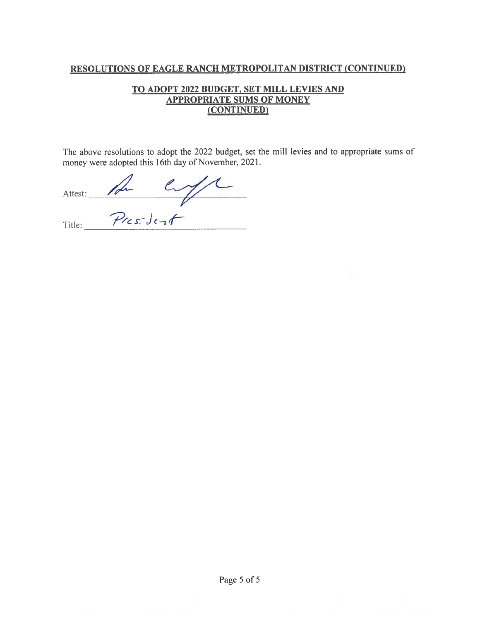### TO ADOPT 2022 BUDGET, SET MILL LEVIES AND **APPROPRIATE SUMS OF MONEY** (CONTINUED)

The above resolutions to adopt the 2022 budget, set the mill levies and to appropriate sums of money were adopted this 16th day of November, 2021.

Attest: Au Cype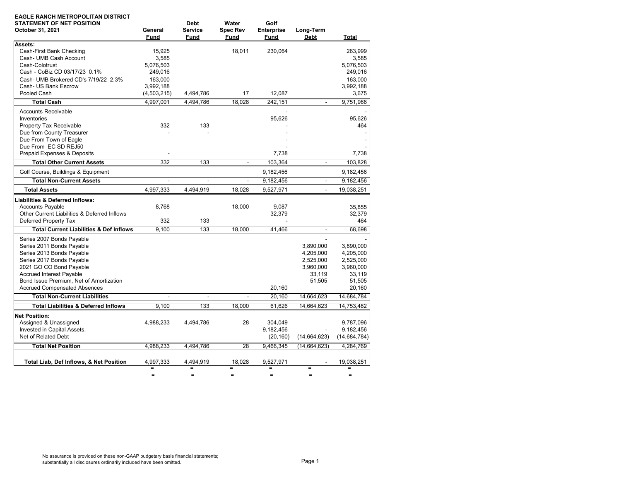| <b>EAGLE RANCH METROPOLITAN DISTRICT</b><br><b>STATEMENT OF NET POSITION</b> |                | <b>Debt</b>    | Water           | Golf              |                          |                |
|------------------------------------------------------------------------------|----------------|----------------|-----------------|-------------------|--------------------------|----------------|
| October 31, 2021                                                             | General        | <b>Service</b> | <b>Spec Rev</b> | <b>Enterprise</b> | Long-Term                |                |
|                                                                              | Fund           | Fund           | Fund            | Fund              | <b>Debt</b>              | Total          |
| Assets:                                                                      |                |                |                 |                   |                          |                |
| Cash-First Bank Checking                                                     | 15.925         |                | 18.011          | 230.064           |                          | 263.999        |
| Cash- UMB Cash Account                                                       | 3,585          |                |                 |                   |                          | 3,585          |
| Cash-Colotrust                                                               | 5,076,503      |                |                 |                   |                          | 5,076,503      |
| Cash - CoBiz CD 03/17/23 0.1%                                                | 249,016        |                |                 |                   |                          | 249,016        |
| Cash- UMB Brokered CD's 7/19/22 2.3%                                         | 163,000        |                |                 |                   |                          | 163,000        |
| Cash- US Bank Escrow                                                         | 3,992,188      |                |                 |                   |                          | 3,992,188      |
| Pooled Cash                                                                  | (4,503,215)    | 4,494,786      | 17              | 12,087            |                          | 3,675          |
| <b>Total Cash</b>                                                            | 4,997,001      | 4,494,786      | 18,028          | 242,151           | $\overline{\phantom{a}}$ | 9,751,966      |
| <b>Accounts Receivable</b>                                                   |                |                |                 |                   |                          |                |
| Inventories                                                                  |                |                |                 | 95,626            |                          | 95,626         |
| Property Tax Receivable                                                      | 332            | 133            |                 |                   |                          | 464            |
| Due from County Treasurer                                                    |                |                |                 |                   |                          |                |
| Due From Town of Eagle                                                       |                |                |                 |                   |                          |                |
| Due From EC SD REJ50                                                         |                |                |                 |                   |                          |                |
| Prepaid Expenses & Deposits                                                  |                |                |                 | 7.738             |                          | 7,738          |
| <b>Total Other Current Assets</b>                                            | 332            | 133            | $\sim$          | 103,364           | $\mathbf{r}$             | 103,828        |
| Golf Course, Buildings & Equipment                                           |                |                |                 | 9,182,456         |                          | 9,182,456      |
| <b>Total Non-Current Assets</b>                                              | $\blacksquare$ | $\blacksquare$ | $\blacksquare$  | 9,182,456         | $\mathbf{r}$             | 9,182,456      |
| <b>Total Assets</b>                                                          | 4,997,333      | 4,494,919      | 18.028          | 9,527,971         |                          | 19,038,251     |
| <b>Liabilities &amp; Deferred Inflows:</b>                                   |                |                |                 |                   |                          |                |
| <b>Accounts Payable</b>                                                      | 8,768          |                | 18,000          | 9,087             |                          | 35,855         |
| Other Current Liabilities & Deferred Inflows                                 |                |                |                 | 32,379            |                          | 32,379         |
| Deferred Property Tax                                                        | 332            | 133            |                 |                   |                          | 464            |
| <b>Total Current Liabilities &amp; Def Inflows</b>                           | 9.100          | 133            | 18.000          | 41.466            | $\blacksquare$           | 68.698         |
| Series 2007 Bonds Payable                                                    |                |                |                 |                   |                          |                |
| Series 2011 Bonds Payable                                                    |                |                |                 |                   | 3,890,000                | 3.890.000      |
| Series 2013 Bonds Payable                                                    |                |                |                 |                   | 4,205,000                | 4,205,000      |
| Series 2017 Bonds Payable                                                    |                |                |                 |                   | 2,525,000                | 2,525,000      |
| 2021 GO CO Bond Payable                                                      |                |                |                 |                   | 3,960,000                | 3,960,000      |
| <b>Accrued Interest Payable</b>                                              |                |                |                 |                   | 33,119                   | 33,119         |
| Bond Issue Premium, Net of Amortization                                      |                |                |                 |                   | 51,505                   | 51,505         |
| <b>Accrued Compensated Absences</b>                                          |                |                |                 | 20,160            |                          | 20,160         |
| <b>Total Non-Current Liabilities</b>                                         | $\blacksquare$ | $\blacksquare$ | $\blacksquare$  | 20,160            | 14,664,623               | 14,684,784     |
| <b>Total Liabilities &amp; Deferred Inflows</b>                              | 9.100          | 133            | 18.000          | 61.626            | 14.664.623               | 14,753,482     |
| <b>Net Position:</b>                                                         |                |                |                 |                   |                          |                |
| Assigned & Unassigned                                                        | 4,988,233      | 4,494,786      | 28              | 304.049           |                          | 9,787,096      |
| Invested in Capital Assets,                                                  |                |                |                 | 9,182,456         |                          | 9,182,456      |
| Net of Related Debt                                                          |                |                |                 | (20, 160)         | (14,664,623)             | (14, 684, 784) |
| <b>Total Net Position</b>                                                    | 4,988,233      | 4,494,786      | 28              | 9,466,345         | (14, 664, 623)           | 4,284,769      |
|                                                                              |                |                |                 |                   |                          |                |
| Total Liab, Def Inflows, & Net Position                                      | 4,997,333      | 4,494,919      | 18,028          | 9,527,971         |                          | 19,038,251     |
|                                                                              | $=$            | $=$            | $\equiv$        | $=$               | $=$                      | $=$            |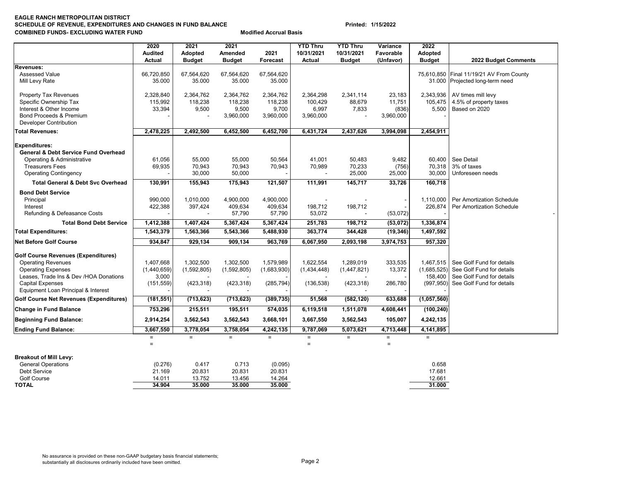#### **EAGLE RANCH METROPOLITAN DISTRICT SCHEDULE OF REVENUE, EXPENDITURES AND CHANGES IN FUND BALANCE Printed: 1/15/2022 COMBINED FUNDS- EXCLUDING WATER FUND**

|                                                                                       | 2020           | 2021          | 2021          |             | <b>YTD Thru</b> | <b>YTD Thru</b> | Variance             | 2022           |                                          |
|---------------------------------------------------------------------------------------|----------------|---------------|---------------|-------------|-----------------|-----------------|----------------------|----------------|------------------------------------------|
|                                                                                       | <b>Audited</b> | Adopted       | Amended       | 2021        | 10/31/2021      | 10/31/2021      | Favorable            | <b>Adopted</b> |                                          |
|                                                                                       | Actual         | <b>Budget</b> | <b>Budget</b> | Forecast    | Actual          | <b>Budget</b>   | (Unfavor)            | <b>Budget</b>  | 2022 Budget Comments                     |
| Revenues:                                                                             |                |               |               |             |                 |                 |                      |                |                                          |
| <b>Assessed Value</b>                                                                 | 66,720,850     | 67,564,620    | 67,564,620    | 67,564,620  |                 |                 |                      |                | 75,610,850 Final 11/19/21 AV From County |
| Mill Levy Rate                                                                        | 35.000         | 35.000        | 35.000        | 35.000      |                 |                 |                      |                | 31.000 Projected long-term need          |
| Property Tax Revenues                                                                 | 2,328,840      | 2,364,762     | 2,364,762     | 2,364,762   | 2,364,298       | 2,341,114       | 23,183               | 2,343,936      | AV times mill levy                       |
| Specific Ownership Tax                                                                | 115,992        | 118,238       | 118,238       | 118,238     | 100,429         | 88,679          | 11,751               | 105,475        | 4.5% of property taxes                   |
| Interest & Other Income                                                               | 33,394         | 9,500         | 9,500         | 9,700       | 6,997           | 7,833           | (836)                | 5,500          | Based on 2020                            |
| Bond Proceeds & Premium                                                               |                |               | 3,960,000     | 3,960,000   | 3,960,000       |                 | 3,960,000            |                |                                          |
| <b>Developer Contribution</b>                                                         |                |               |               |             |                 |                 |                      |                |                                          |
| <b>Total Revenues:</b>                                                                | 2,478,225      | 2,492,500     | 6,452,500     | 6,452,700   | 6,431,724       | 2,437,626       | 3,994,098            | 2,454,911      |                                          |
| <b>Expenditures:</b>                                                                  |                |               |               |             |                 |                 |                      |                |                                          |
| <b>General &amp; Debt Service Fund Overhead</b>                                       |                |               |               |             |                 |                 |                      |                |                                          |
| Operating & Administrative                                                            | 61,056         | 55,000        | 55,000        | 50,564      | 41,001          | 50,483          | 9,482                |                | 60,400 See Detail                        |
| <b>Treasurers Fees</b>                                                                | 69,935         | 70,943        | 70,943        | 70,943      | 70,989          | 70,233          | (756)                | 70,318         | 3% of taxes                              |
| <b>Operating Contingency</b>                                                          |                | 30,000        | 50,000        |             |                 | 25,000          | 25,000               | 30,000         | Unforeseen needs                         |
| <b>Total General &amp; Debt Svc Overhead</b>                                          | 130,991        | 155,943       | 175,943       | 121,507     | 111,991         | 145,717         | 33,726               | 160,718        |                                          |
| <b>Bond Debt Service</b>                                                              |                |               |               |             |                 |                 |                      |                |                                          |
| Principal                                                                             | 990,000        | 1,010,000     | 4,900,000     | 4,900,000   |                 |                 |                      | 1.110.000      | Per Amortization Schedule                |
| Interest                                                                              | 422,388        | 397,424       | 409,634       | 409,634     | 198,712         | 198,712         |                      | 226,874        | Per Amortization Schedule                |
| Refunding & Defeasance Costs                                                          |                |               | 57,790        | 57,790      | 53,072          |                 | (53,072)             |                |                                          |
| <b>Total Bond Debt Service</b>                                                        | 1,412,388      | 1,407,424     | 5,367,424     | 5,367,424   | 251,783         | 198,712         | (53,072)             | 1,336,874      |                                          |
| <b>Total Expenditures:</b>                                                            | 1,543,379      | 1,563,366     | 5,543,366     | 5,488,930   | 363,774         | 344,428         | (19, 346)            | 1,497,592      |                                          |
| <b>Net Before Golf Course</b>                                                         | 934,847        | 929,134       | 909,134       | 963,769     | 6,067,950       | 2,093,198       | 3,974,753            | 957,320        |                                          |
| <b>Golf Course Revenues (Expenditures)</b>                                            |                |               |               |             |                 |                 |                      |                |                                          |
| <b>Operating Revenues</b>                                                             | 1,407,668      | 1,302,500     | 1,302,500     | 1,579,989   | 1,622,554       | 1,289,019       | 333,535              | 1,467,515      | See Golf Fund for details                |
| <b>Operating Expenses</b>                                                             | (1,440,659)    | (1,592,805)   | (1,592,805)   | (1,683,930) | (1,434,448)     | (1,447,821)     | 13,372               | (1,685,525)    | See Golf Fund for details                |
| Leases, Trade Ins & Dev /HOA Donations                                                | 3,000          |               |               |             |                 |                 |                      | 158,400        | See Golf Fund for details                |
| <b>Capital Expenses</b>                                                               | (151, 559)     | (423, 318)    | (423, 318)    | (285, 794)  | (136, 538)      | (423, 318)      | 286,780              | (997, 950)     | See Golf Fund for details                |
| Equipment Loan Principal & Interest<br><b>Golf Course Net Revenues (Expenditures)</b> | (181, 551)     | (713, 623)    | (713, 623)    | (389, 735)  | 51,568          | (582, 120)      | 633,688              | (1,057,560)    |                                          |
| <b>Change in Fund Balance</b>                                                         | 753,296        | 215,511       | 195,511       | 574,035     | 6,119,518       | 1,511,078       | 4,608,441            | (100, 240)     |                                          |
| <b>Beginning Fund Balance:</b>                                                        | 2,914,254      | 3,562,543     | 3,562,543     | 3,668,101   | 3,667,550       | 3,562,543       | 105,007              | 4,242,135      |                                          |
|                                                                                       |                |               |               |             |                 |                 |                      |                |                                          |
| <b>Ending Fund Balance:</b>                                                           | 3,667,550      | 3,778,054     | 3,758,054     | 4,242,135   | 9,787,069       | 5,073,621       | 4,713,448            | 4,141,895      |                                          |
|                                                                                       | $=$<br>$=$     | $=$           | $=$           | $=$         | $=$<br>$\equiv$ | $=$             | $\equiv$<br>$\equiv$ | $=$            |                                          |
| <b>Breakout of Mill Levy:</b>                                                         |                |               |               |             |                 |                 |                      |                |                                          |
| <b>General Operations</b>                                                             | (0.276)        | 0.417         | 0.713         | (0.095)     |                 |                 |                      | 0.658          |                                          |
| Debt Service                                                                          | 21.169         | 20.831        | 20.831        | 20.831      |                 |                 |                      | 17.681         |                                          |
| <b>Golf Course</b>                                                                    | 14.011         | 13.752        | 13.456        | 14.264      |                 |                 |                      | 12.661         |                                          |
| <b>TOTAL</b>                                                                          | 34.904         | 35.000        | 35.000        | 35.000      |                 |                 |                      | 31.000         |                                          |

**Modified Accrual Basis**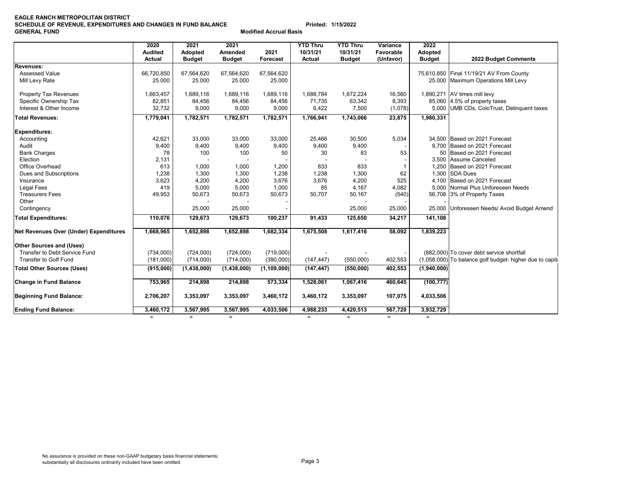#### **EAGLE RANCH METROPOLITAN DISTRICT SCHEDULE OF REVENUE, EXPENDITURES AND CHANGES IN FUND BALANCE Printed: 1/15/2022 GENERAL FUND**

**Modified Accrual Basis**

|                                        |                        |                 |                 |               |                             | <b>YTD Thru</b> |                       |                       |                                                           |
|----------------------------------------|------------------------|-----------------|-----------------|---------------|-----------------------------|-----------------|-----------------------|-----------------------|-----------------------------------------------------------|
|                                        | 2020<br><b>Audited</b> | 2021<br>Adopted | 2021<br>Amended | 2021          | <b>YTD Thru</b><br>10/31/21 | 10/31/21        | Variance<br>Favorable | 2022<br>Adopted       |                                                           |
|                                        | <b>Actual</b>          | <b>Budget</b>   | <b>Budget</b>   | Forecast      | <b>Actual</b>               | <b>Budget</b>   | (Unfavor)             | <b>Budget</b>         | 2022 Budget Comments                                      |
| <b>Revenues:</b>                       |                        |                 |                 |               |                             |                 |                       |                       |                                                           |
| Assessed Value                         | 66,720,850             | 67,564,620      | 67,564,620      | 67,564,620    |                             |                 |                       |                       | 75,610,850 Final 11/19/21 AV From County                  |
| Mill Levy Rate                         | 25.000                 | 25.000          | 25.000          | 25.000        |                             |                 |                       | 25.000                | <b>Maximum Operations Mill Levy</b>                       |
| <b>Property Tax Revenues</b>           | 1,663,457              | 1,689,116       | 1,689,116       | 1,689,116     | 1,688,784                   | 1,672,224       | 16,560                |                       | 1,890,271 AV times mill levy                              |
| Specific Ownership Tax                 | 82,851                 | 84,456          | 84,456          | 84,456        | 71.735                      | 63,342          | 8,393                 |                       | 85,060 4.5% of property taxes                             |
| Interest & Other Income                | 32,732                 | 9,000           | 9,000           | 9,000         | 6,422                       | 7,500           | (1,078)               | 5,000                 | UMB CDs, ColoTrust, Delinquent taxes                      |
| <b>Total Revenues:</b>                 | 1,779,041              | 1,782,571       | 1,782,571       | 1,782,571     | 1,766,941                   | 1,743,066       | 23,875                | 1,980,331             |                                                           |
| <b>Expenditures:</b>                   |                        |                 |                 |               |                             |                 |                       |                       |                                                           |
| Accounting                             | 42,621                 | 33,000          | 33,000          | 33,000        | 25.466                      | 30,500          | 5,034                 |                       | 34.500 Based on 2021 Forecast                             |
| Audit                                  | 9,400                  | 9,400           | 9,400           | 9,400         | 9,400                       | 9,400           |                       |                       | 9,700 Based on 2021 Forecast                              |
| <b>Bank Charges</b>                    | 78                     | 100             | 100             | 50            | 30                          | 83              | 53                    |                       | 50 Based on 2021 Forecast                                 |
| Election                               | 2,131                  |                 |                 |               |                             |                 |                       |                       | 3.500 Assume Canceled                                     |
| Office Overhead                        | 613                    | 1,000           | 1,000           | 1,200         | 833                         | 833             |                       | 1,250                 | Based on 2021 Forecast                                    |
| Dues and Subscriptions                 | 1,238                  | 1,300           | 1,300           | 1,238         | 1,238                       | 1,300           | 62                    | 1.300                 | <b>SDA Dues</b>                                           |
| Insurance                              | 3,623                  | 4,200           | 4,200           | 3,676         | 3,676                       | 4,200           | 525                   |                       | 4.100 Based on 2021 Forecast                              |
| <b>Legal Fees</b>                      | 419                    | 5,000           | 5,000           | 1,000         | 85                          | 4,167           | 4,082                 |                       | 5,000 Normal Plus Unforeseen Needs                        |
| <b>Treasurers Fees</b>                 | 49,953                 | 50,673          | 50,673          | 50,673        | 50,707                      | 50,167          | (540)                 |                       | 56,708 3% of Property Taxes                               |
| Other                                  |                        |                 |                 |               |                             |                 |                       |                       |                                                           |
| Contingency                            |                        | 25,000          | 25,000          |               |                             | 25,000          | 25,000                | 25,000                | Unforeseen Needs/ Avoid Budget Amend                      |
| <b>Total Expenditures:</b>             | 110,076                | 129,673         | 129,673         | 100,237       | 91,433                      | 125,650         | 34,217                | $\overline{141, 108}$ |                                                           |
| Net Revenues Over (Under) Expenditures | 1,668,965              | 1,652,898       | 1,652,898       | 1,682,334     | 1,675,508                   | 1,617,416       | 58,092                | 1,839,223             |                                                           |
| <b>Other Sources and (Uses)</b>        |                        |                 |                 |               |                             |                 |                       |                       |                                                           |
| Transfer to Debt Service Fund          | (734,000)              | (724,000)       | (724,000)       | (719,000)     |                             |                 |                       |                       | (882,000) To cover debt service shortfall                 |
| <b>Transfer to Golf Fund</b>           | (181,000)              | (714,000)       | (714,000)       | (390,000)     | (147, 447)                  | (550,000)       | 402,553               |                       | (1,058,000) To balance golf budget- higher due to capital |
| <b>Total Other Sources (Uses)</b>      | (915,000)              | (1,438,000)     | (1,438,000)     | (1, 109, 000) | (147, 447)                  | (550,000)       | 402,553               | (1,940,000)           |                                                           |
| <b>Change in Fund Balance</b>          | 753,965                | 214,898         | 214,898         | 573,334       | 1,528,061                   | 1,067,416       | 460,645               | (100, 777)            |                                                           |
| <b>Beginning Fund Balance:</b>         | 2,706,207              | 3,353,097       | 3,353,097       | 3,460,172     | 3,460,172                   | 3,353,097       | 107,075               | 4,033,506             |                                                           |
| <b>Ending Fund Balance:</b>            | 3,460,172              | 3,567,995       | 3,567,995       | 4,033,506     | 4,988,233                   | 4,420,513       | 567,720               | 3,932,729             |                                                           |

= = = = = = =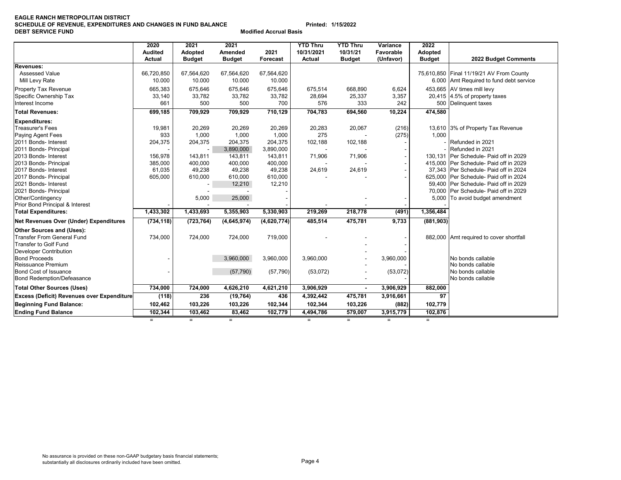#### **EAGLE RANCH METROPOLITAN DISTRICT SCHEDULE OF REVENUE, EXPENDITURES AND CHANGES IN FUND BALANCE Printed: 1/15/2022 DEBT SERVICE FUND Modified Accrual Basis**

|                                                   | 2020           | 2021          | 2021          |             | <b>YTD Thru</b> | <b>YTD Thru</b> | Variance  | 2022           |                                          |
|---------------------------------------------------|----------------|---------------|---------------|-------------|-----------------|-----------------|-----------|----------------|------------------------------------------|
|                                                   | <b>Audited</b> | Adopted       | Amended       | 2021        | 10/31/2021      | 10/31/21        | Favorable | <b>Adopted</b> |                                          |
|                                                   | Actual         | <b>Budget</b> | <b>Budget</b> | Forecast    | Actual          | <b>Budget</b>   | (Unfavor) | <b>Budget</b>  | 2022 Budget Comments                     |
| Revenues:                                         |                |               |               |             |                 |                 |           |                |                                          |
| <b>Assessed Value</b>                             | 66,720,850     | 67,564,620    | 67,564,620    | 67,564,620  |                 |                 |           |                | 75,610,850 Final 11/19/21 AV From County |
| Mill Levy Rate                                    | 10.000         | 10.000        | 10.000        | 10.000      |                 |                 |           |                | 6.000 Amt Required to fund debt service  |
| Property Tax Revenue                              | 665,383        | 675,646       | 675,646       | 675,646     | 675.514         | 668,890         | 6,624     |                | 453,665 AV times mill levy               |
| Specific Ownership Tax                            | 33,140         | 33,782        | 33,782        | 33,782      | 28,694          | 25,337          | 3,357     |                | 20,415 4.5% of property taxes            |
| Interest Income                                   | 661            | 500           | 500           | 700         | 576             | 333             | 242       |                | 500 Delinquent taxes                     |
| <b>Total Revenues:</b>                            | 699,185        | 709,929       | 709,929       | 710,129     | 704,783         | 694,560         | 10,224    | 474,580        |                                          |
| <b>Expenditures:</b>                              |                |               |               |             |                 |                 |           |                |                                          |
| <b>Treasurer's Fees</b>                           | 19,981         | 20,269        | 20,269        | 20,269      | 20,283          | 20,067          | (216)     |                | 13,610 3% of Property Tax Revenue        |
| <b>Paying Agent Fees</b>                          | 933            | 1,000         | 1,000         | 1,000       | 275             |                 | (275)     | 1,000          |                                          |
| 2011 Bonds- Interest                              | 204,375        | 204,375       | 204,375       | 204,375     | 102,188         | 102,188         |           |                | - Refunded in 2021                       |
| 2011 Bonds- Principal                             |                |               | 3,890,000     | 3,890,000   |                 |                 |           |                | Refunded in 2021                         |
| 2013 Bonds- Interest                              | 156,978        | 143,811       | 143,811       | 143,811     | 71,906          | 71,906          |           |                | 130,131 Per Schedule- Paid off in 2029   |
| 2013 Bonds- Principal                             | 385,000        | 400,000       | 400,000       | 400,000     |                 |                 |           |                | 415,000 Per Schedule- Paid off in 2029   |
| 2017 Bonds- Interest                              | 61,035         | 49,238        | 49,238        | 49,238      | 24,619          | 24,619          |           |                | 37.343 Per Schedule- Paid off in 2024    |
| 2017 Bonds- Principal                             | 605,000        | 610,000       | 610,000       | 610,000     |                 |                 |           |                | 625,000 Per Schedule- Paid off in 2024   |
| 2021 Bonds- Interest                              |                |               | 12,210        | 12,210      |                 |                 |           |                | 59,400 Per Schedule- Paid off in 2029    |
| 2021 Bonds- Principal                             |                |               |               |             |                 |                 |           |                | 70,000 Per Schedule- Paid off in 2029    |
| Other/Contingency                                 |                | 5,000         | 25,000        |             |                 |                 |           |                | 5,000 To avoid budget amendment          |
| Prior Bond Principal & Interest                   |                |               |               |             |                 |                 |           |                |                                          |
| <b>Total Expenditures:</b>                        | 1,433,302      | 1,433,693     | 5,355,903     | 5,330,903   | 219,269         | 218,778         | (491)     | 1,356,484      |                                          |
| <b>Net Revenues Over (Under) Expenditures</b>     | (734, 118)     | (723, 764)    | (4,645,974)   | (4,620,774) | 485,514         | 475,781         | 9,733     | (881, 903)     |                                          |
| Other Sources and (Uses):                         |                |               |               |             |                 |                 |           |                |                                          |
| Transfer From General Fund                        | 734,000        | 724,000       | 724,000       | 719,000     |                 |                 |           |                | 882,000 Amt required to cover shortfall  |
| Transfer to Golf Fund                             |                |               |               |             |                 |                 |           |                |                                          |
| <b>Developer Contribution</b>                     |                |               |               |             |                 |                 |           |                |                                          |
| <b>Bond Proceeds</b>                              |                |               | 3,960,000     | 3,960,000   | 3,960,000       |                 | 3,960,000 |                | No bonds callable                        |
| Reissuance Premium                                |                |               |               |             |                 |                 |           |                | No bonds callable                        |
| <b>Bond Cost of Issuance</b>                      |                |               | (57, 790)     | (57, 790)   | (53,072)        |                 | (53,072)  |                | No bonds callable                        |
| <b>Bond Redemption/Defeasance</b>                 |                |               |               |             |                 |                 |           |                | No bonds callable                        |
| <b>Total Other Sources (Uses)</b>                 | 734,000        | 724,000       | 4,626,210     | 4,621,210   | 3,906,929       | $\blacksquare$  | 3,906,929 | 882,000        |                                          |
| <b>Excess (Deficit) Revenues over Expenditure</b> | (118)          | 236           | (19, 764)     | 436         | 4,392,442       | 475,781         | 3,916,661 | 97             |                                          |
| Beginning Fund Balance:                           | 102,462        | 103,226       | 103,226       | 102,344     | 102,344         | 103,226         | (882)     | 102,779        |                                          |
| <b>Ending Fund Balance</b>                        | 102,344        | 103,462       | 83,462        | 102,779     | 4,494,786       | 579,007         | 3,915,779 | 102,876        |                                          |

= = = = = = =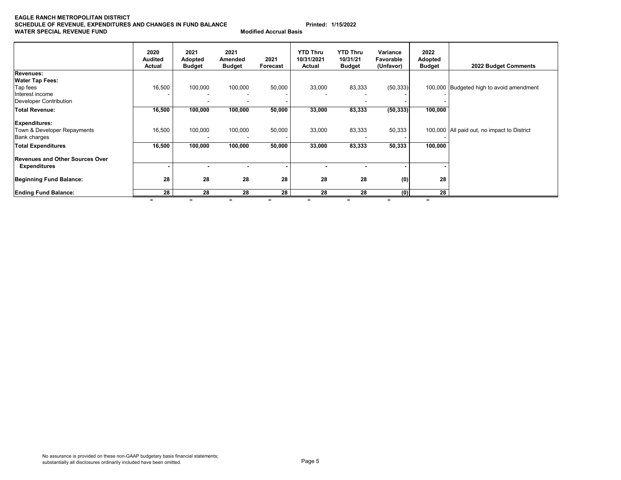#### **EAGLE RANCH METROPOLITAN DISTRICT SCHEDULE OF REVENUE, EXPENDITURES AND CHANGES IN FUND BALANCE Printed: 1/15/2022 WATER SPECIAL REVENUE FUND**

| <b>Modified Accrual Basis</b> |  |
|-------------------------------|--|
|                               |  |

|                                        | 2020<br><b>Audited</b><br>Actual | 2021<br>Adopted<br><b>Budget</b> | 2021<br>Amended<br><b>Budget</b> | 2021<br>Forecast | <b>YTD Thru</b><br>10/31/2021<br>Actual | <b>YTD Thru</b><br>10/31/21<br><b>Budget</b> | Variance<br>Favorable<br>(Unfavor) | 2022<br>Adopted<br><b>Budget</b> | 2022 Budget Comments                        |
|----------------------------------------|----------------------------------|----------------------------------|----------------------------------|------------------|-----------------------------------------|----------------------------------------------|------------------------------------|----------------------------------|---------------------------------------------|
| Revenues:                              |                                  |                                  |                                  |                  |                                         |                                              |                                    |                                  |                                             |
| <b>Water Tap Fees:</b>                 |                                  |                                  |                                  |                  |                                         |                                              |                                    |                                  |                                             |
| Tap fees                               | 16,500                           | 100,000                          | 100,000                          | 50,000           | 33,000                                  | 83,333                                       | (50, 333)                          |                                  | 100,000 Budgeted high to avoid amendment    |
| Interest income                        |                                  |                                  |                                  |                  |                                         |                                              |                                    |                                  |                                             |
| Developer Contribution                 |                                  |                                  |                                  |                  |                                         |                                              |                                    |                                  |                                             |
| <b>Total Revenue:</b>                  | 16,500                           | 100,000                          | 100,000                          | 50,000           | 33,000                                  | 83,333                                       | (50, 333)                          | 100,000                          |                                             |
| <b>Expenditures:</b>                   |                                  |                                  |                                  |                  |                                         |                                              |                                    |                                  |                                             |
| Town & Developer Repayments            | 16,500                           | 100,000                          | 100,000                          | 50,000           | 33,000                                  | 83,333                                       | 50,333                             |                                  | 100,000 All paid out, no impact to District |
| <b>Bank charges</b>                    |                                  |                                  |                                  |                  |                                         |                                              |                                    |                                  |                                             |
| <b>Total Expenditures</b>              | 16,500                           | 100,000                          | 100,000                          | 50,000           | 33,000                                  | 83,333                                       | 50,333                             | 100,000                          |                                             |
| <b>Revenues and Other Sources Over</b> |                                  |                                  |                                  |                  |                                         |                                              |                                    |                                  |                                             |
| <b>Expenditures</b>                    |                                  |                                  |                                  |                  |                                         |                                              |                                    |                                  |                                             |
| <b>Beginning Fund Balance:</b>         | 28                               | 28                               | 28                               | 28               | 28                                      | 28                                           | (0)                                | 28                               |                                             |
| <b>Ending Fund Balance:</b>            | 28                               | 28<br>$=$                        | 28<br>$=$                        | 28<br>$=$        | 28<br>$=$                               | 28                                           | (0)                                | $\overline{28}$<br>$=$           |                                             |

No assurance is provided on these non-GAAP budgetary basis financial statements;<br>substantially all disclosures ordinarily included have been omitted.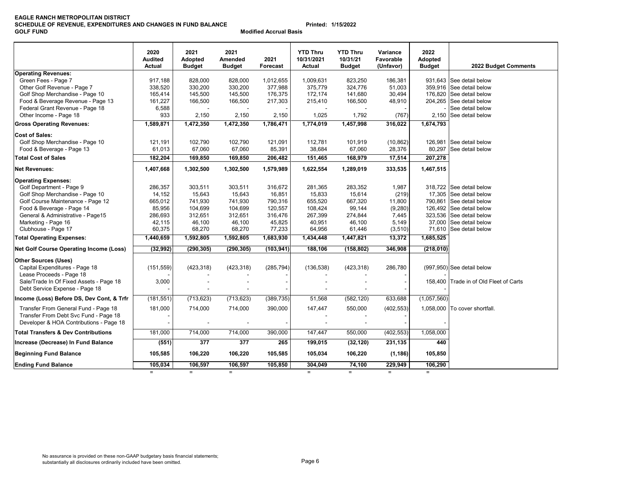#### **EAGLE RANCH METROPOLITAN DISTRICT SCHEDULE OF REVENUE, EXPENDITURES AND CHANGES IN FUND BALANCE Printed: 1/15/2022 GOLF FUND**

**Modified Accrual Basis**

|                                                                               | 2020<br><b>Audited</b><br>Actual | 2021<br><b>Adopted</b><br><b>Budget</b> | 2021<br><b>Amended</b><br><b>Budget</b> | 2021<br>Forecast | <b>YTD Thru</b><br>10/31/2021<br>Actual | <b>YTD Thru</b><br>10/31/21<br><b>Budget</b> | Variance<br>Favorable<br>(Unfavor) | 2022<br>Adopted<br><b>Budget</b> | 2022 Budget Comments                   |
|-------------------------------------------------------------------------------|----------------------------------|-----------------------------------------|-----------------------------------------|------------------|-----------------------------------------|----------------------------------------------|------------------------------------|----------------------------------|----------------------------------------|
| <b>Operating Revenues:</b>                                                    |                                  |                                         |                                         |                  |                                         |                                              |                                    |                                  |                                        |
| Green Fees - Page 7                                                           | 917,188                          | 828,000                                 | 828,000                                 | 1,012,655        | 1,009,631                               | 823,250                                      | 186,381                            |                                  | 931,643 See detail below               |
| Other Golf Revenue - Page 7                                                   | 338,520                          | 330,200                                 | 330,200                                 | 377,988          | 375,779                                 | 324,776                                      | 51,003                             |                                  | 359.916 See detail below               |
| Golf Shop Merchandise - Page 10                                               | 165,414                          | 145,500                                 | 145,500                                 | 176,375          | 172,174                                 | 141,680                                      | 30,494                             |                                  | 176,820 See detail below               |
| Food & Beverage Revenue - Page 13                                             | 161,227                          | 166,500                                 | 166,500                                 | 217,303          | 215,410                                 | 166,500                                      | 48,910                             |                                  | 204,265 See detail below               |
| Federal Grant Revenue - Page 18                                               | 6,588                            |                                         |                                         |                  |                                         |                                              |                                    |                                  | See detail below                       |
| Other Income - Page 18                                                        | 933                              | 2,150                                   | 2,150                                   | 2,150            | 1,025                                   | 1,792                                        | (767)                              |                                  | 2.150 See detail below                 |
| <b>Gross Operating Revenues:</b>                                              | 1,589,871                        | 1,472,350                               | 1,472,350                               | 1,786,471        | 1,774,019                               | 1,457,998                                    | 316,022                            | 1,674,793                        |                                        |
| <b>Cost of Sales:</b>                                                         |                                  |                                         |                                         |                  |                                         |                                              |                                    |                                  |                                        |
| Golf Shop Merchandise - Page 10                                               | 121,191                          | 102,790                                 | 102,790                                 | 121,091          | 112,781                                 | 101,919                                      | (10, 862)                          | 126,981                          | See detail below                       |
| Food & Beverage - Page 13                                                     | 61,013                           | 67,060                                  | 67,060                                  | 85,391           | 38,684                                  | 67,060                                       | 28,376                             | 80,297                           | See detail below                       |
| <b>Total Cost of Sales</b>                                                    | 182,204                          | 169,850                                 | 169,850                                 | 206,482          | 151,465                                 | 168,979                                      | 17,514                             | 207,278                          |                                        |
| <b>Net Revenues:</b>                                                          | 1,407,668                        | 1,302,500                               | 1,302,500                               | 1,579,989        | 1,622,554                               | 1,289,019                                    | 333,535                            | 1,467,515                        |                                        |
| <b>Operating Expenses:</b>                                                    |                                  |                                         |                                         |                  |                                         |                                              |                                    |                                  |                                        |
| Golf Department - Page 9                                                      | 286,357                          | 303,511                                 | 303,511                                 | 316,672          | 281,365                                 | 283,352                                      | 1,987                              |                                  | 318,722 See detail below               |
| Golf Shop Merchandise - Page 10                                               | 14,152                           | 15,643                                  | 15,643                                  | 16,851           | 15,833                                  | 15,614                                       | (219)                              |                                  | 17,305 See detail below                |
| Golf Course Maintenance - Page 12                                             | 665,012                          | 741,930                                 | 741,930                                 | 790,316          | 655,520                                 | 667,320                                      | 11,800                             |                                  | 790,861 See detail below               |
| Food & Beverage - Page 14                                                     | 85,956                           | 104,699                                 | 104,699                                 | 120,557          | 108,424                                 | 99,144                                       | (9,280)                            |                                  | 126,492 See detail below               |
| General & Administrative - Page15                                             | 286,693                          | 312,651                                 | 312,651                                 | 316,476          | 267,399                                 | 274,844                                      | 7,445                              |                                  | 323,536 See detail below               |
| Marketing - Page 16                                                           | 42,115                           | 46,100                                  | 46,100                                  | 45,825           | 40,951                                  | 46,100                                       | 5,149                              |                                  | 37,000 See detail below                |
| Clubhouse - Page 17                                                           | 60,375                           | 68,270                                  | 68,270                                  | 77,233           | 64,956                                  | 61,446                                       | (3, 510)                           | 71,610                           | See detail below                       |
| <b>Total Operating Expenses:</b>                                              | 1,440,659                        | 1,592,805                               | 1,592,805                               | 1,683,930        | 1,434,448                               | 1,447,821                                    | 13,372                             | 1,685,525                        |                                        |
| <b>Net Golf Course Operating Income (Loss)</b>                                | (32, 992)                        | (290, 305)                              | (290, 305)                              | (103, 941)       | 188,106                                 | (158, 802)                                   | 346,908                            | (218,010)                        |                                        |
| <b>Other Sources (Uses)</b>                                                   |                                  |                                         |                                         |                  |                                         |                                              |                                    |                                  |                                        |
| Capital Expenditures - Page 18                                                | (151, 559)                       | (423, 318)                              | (423, 318)                              | (285, 794)       | (136, 538)                              | (423, 318)                                   | 286,780                            |                                  | $(997,950)$ See detail below           |
| Lease Proceeds - Page 18                                                      |                                  |                                         |                                         |                  |                                         |                                              |                                    |                                  |                                        |
| Sale/Trade In Of Fixed Assets - Page 18<br>Debt Service Expense - Page 18     | 3,000                            |                                         |                                         |                  |                                         |                                              |                                    |                                  | 158,400 Trade in of Old Fleet of Carts |
| Income (Loss) Before DS, Dev Cont, & Trfr                                     | (181, 551)                       | (713, 623)                              | (713, 623)                              | (389, 735)       | 51,568                                  | (582, 120)                                   | 633,688                            | (1,057,560)                      |                                        |
|                                                                               |                                  |                                         |                                         |                  |                                         |                                              |                                    |                                  |                                        |
| Transfer From General Fund - Page 18<br>Transfer From Debt Svc Fund - Page 18 | 181,000                          | 714,000                                 | 714,000                                 | 390,000          | 147,447                                 | 550,000                                      | (402, 553)                         |                                  | 1,058,000 To cover shortfall.          |
| Developer & HOA Contributions - Page 18                                       |                                  |                                         |                                         |                  |                                         |                                              |                                    |                                  |                                        |
| <b>Total Transfers &amp; Dev Contributions</b>                                | 181,000                          | 714,000                                 | 714,000                                 | 390,000          | 147,447                                 | 550,000                                      | (402, 553)                         | 1,058,000                        |                                        |
| Increase (Decrease) In Fund Balance                                           | (551)                            | 377                                     | 377                                     | 265              | 199,015                                 | (32, 120)                                    | 231,135                            | 440                              |                                        |
| <b>Beginning Fund Balance</b>                                                 | 105,585                          | 106,220                                 | 106,220                                 | 105,585          | 105,034                                 | 106,220                                      | (1, 186)                           | 105,850                          |                                        |
| <b>Ending Fund Balance</b>                                                    | 105,034                          | 106,597                                 | 106,597                                 | 105,850          | 304,049                                 | 74,100                                       | 229,949                            | 106,290                          |                                        |
|                                                                               | $=$                              | $\equiv$                                | $\equiv$                                |                  | $\equiv$                                | $\equiv$                                     | $=$                                | $\equiv$                         |                                        |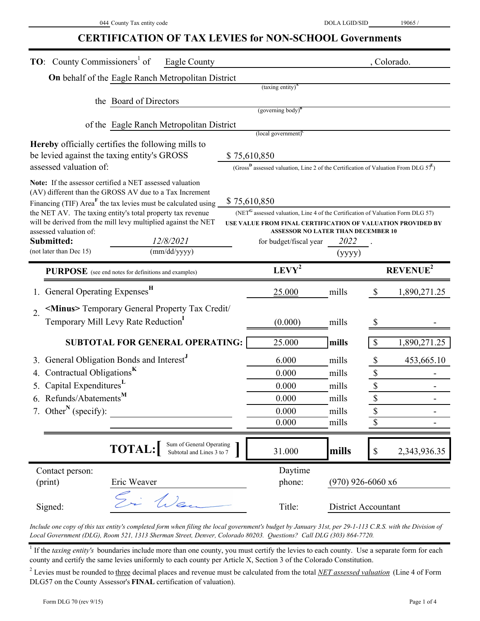# **CERTIFICATION OF TAX LEVIES for NON-SCHOOL Governments**

| <b>TO:</b> County Commissioners <sup>1</sup> of<br>Eagle County                                                             |                                                                                                                                                            |                            | , Colorado.                   |
|-----------------------------------------------------------------------------------------------------------------------------|------------------------------------------------------------------------------------------------------------------------------------------------------------|----------------------------|-------------------------------|
| On behalf of the Eagle Ranch Metropolitan District                                                                          |                                                                                                                                                            |                            |                               |
|                                                                                                                             | $(taxing entity)^A$                                                                                                                                        |                            |                               |
| the Board of Directors                                                                                                      |                                                                                                                                                            |                            |                               |
|                                                                                                                             | (governing body) <sup>B</sup>                                                                                                                              |                            |                               |
| of the Eagle Ranch Metropolitan District                                                                                    | (local government) <sup>c</sup>                                                                                                                            |                            |                               |
| Hereby officially certifies the following mills to                                                                          |                                                                                                                                                            |                            |                               |
| be levied against the taxing entity's GROSS                                                                                 | \$75,610,850                                                                                                                                               |                            |                               |
| assessed valuation of:                                                                                                      | (Gross <sup>D</sup> assessed valuation, Line 2 of the Certification of Valuation From DLG $57^E$ )                                                         |                            |                               |
| Note: If the assessor certified a NET assessed valuation                                                                    |                                                                                                                                                            |                            |                               |
| (AV) different than the GROSS AV due to a Tax Increment                                                                     |                                                                                                                                                            |                            |                               |
| Financing (TIF) Area <sup>F</sup> the tax levies must be calculated using                                                   | \$75,610,850                                                                                                                                               |                            |                               |
| the NET AV. The taxing entity's total property tax revenue<br>will be derived from the mill levy multiplied against the NET | (NET <sup>G</sup> assessed valuation, Line 4 of the Certification of Valuation Form DLG 57)<br>USE VALUE FROM FINAL CERTIFICATION OF VALUATION PROVIDED BY |                            |                               |
| assessed valuation of:                                                                                                      | <b>ASSESSOR NO LATER THAN DECEMBER 10</b>                                                                                                                  |                            |                               |
| Submitted:<br>12/8/2021                                                                                                     | for budget/fiscal year                                                                                                                                     | 2022                       |                               |
| (not later than Dec 15)<br>(mm/dd/yyyy)                                                                                     |                                                                                                                                                            | (yyyy)                     |                               |
| <b>PURPOSE</b> (see end notes for definitions and examples)                                                                 | $LEVY^2$                                                                                                                                                   |                            | REVENUE <sup>2</sup>          |
| General Operating Expenses <sup>H</sup>                                                                                     | 25.000                                                                                                                                                     | mills                      | $\mathcal{S}$<br>1,890,271.25 |
| <minus> Temporary General Property Tax Credit/<br/><math>\overline{2}</math>.</minus>                                       |                                                                                                                                                            |                            |                               |
| Temporary Mill Levy Rate Reduction <sup>1</sup>                                                                             | (0.000)                                                                                                                                                    | mills                      |                               |
| <b>SUBTOTAL FOR GENERAL OPERATING:</b>                                                                                      | 25.000                                                                                                                                                     | mills                      | \$<br>1,890,271.25            |
|                                                                                                                             |                                                                                                                                                            |                            |                               |
| General Obligation Bonds and Interest"                                                                                      | 6.000                                                                                                                                                      | mills                      | 453,665.10<br>\$              |
| Contractual Obligations <sup>K</sup>                                                                                        | 0.000                                                                                                                                                      | mills                      | $\mathbb S$                   |
| Capital Expenditures <sup>L</sup>                                                                                           | 0.000                                                                                                                                                      | mills                      | $\overline{\mathbb{S}}$       |
| 6. Refunds/Abatements <sup>M</sup>                                                                                          | 0.000                                                                                                                                                      | mills                      | \$                            |
| 7. Other <sup>N</sup> (specify):                                                                                            | 0.000                                                                                                                                                      | mills                      | \$                            |
|                                                                                                                             | 0.000                                                                                                                                                      | mills                      | \$                            |
| Sum of General Operating                                                                                                    |                                                                                                                                                            |                            |                               |
| <b>TOTAL:</b><br>Subtotal and Lines 3 to 7                                                                                  | 31.000                                                                                                                                                     | mills                      | 2,343,936.35<br>\$            |
| Contact person:                                                                                                             | Daytime                                                                                                                                                    |                            |                               |
| (print)<br>Eric Weaver                                                                                                      | phone:                                                                                                                                                     | $(970)$ 926-6060 x6        |                               |
| Fi Wen<br>Signed:                                                                                                           | Title:                                                                                                                                                     | <b>District Accountant</b> |                               |

*Include one copy of this tax entity's completed form when filing the local government's budget by January 31st, per 29-1-113 C.R.S. with the Division of Local Government (DLG), Room 521, 1313 Sherman Street, Denver, Colorado 80203. Questions? Call DLG (303) 864-7720.*

<sup>1</sup> If the *taxing entity's* boundaries include more than one county, you must certify the levies to each county. Use a separate form for each county and certify the same levies uniformly to each county per Article X, Section 3 of the Colorado Constitution.

<sup>2</sup> Levies must be rounded to three decimal places and revenue must be calculated from the total *NET assessed valuation* (Line 4 of Form DLG57 on the County Assessor's **FINAL** certification of valuation).